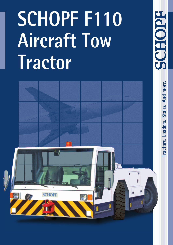# **SCHOPF F110 Aircraft Tow Tractor**

200992